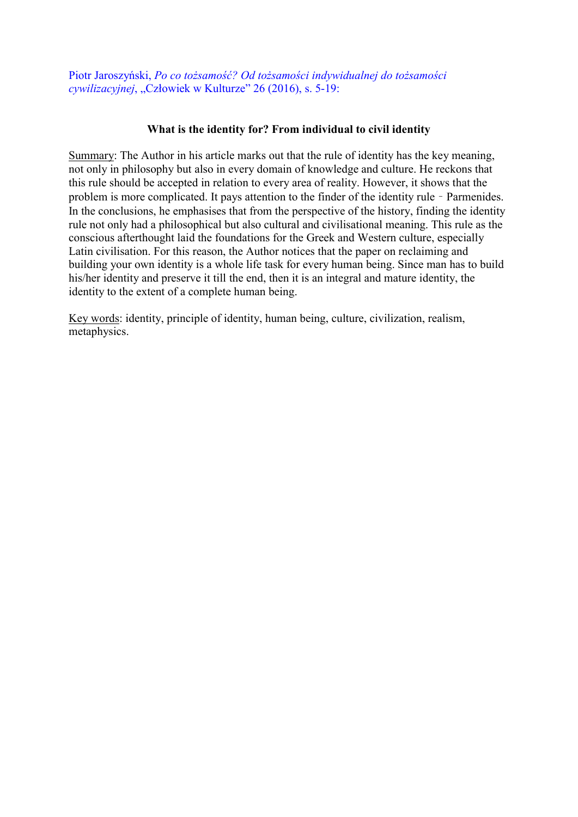Piotr Jaroszyński, *Po co tożsamość? Od tożsamości indywidualnej do tożsamości cywilizacyjnej*, "Człowiek w Kulturze" 26 (2016), s. 5-19:

## What is the identity for? From individual to civil identity

Summary: The Author in his article marks out that the rule of identity has the key meaning, not only in philosophy but also in every domain of knowledge and culture. He reckons that this rule should be accepted in relation to every area of reality. However, it shows that the problem is more complicated. It pays attention to the finder of the identity rule – Parmenides. In the conclusions, he emphasises that from the perspective of the history, finding the identity rule not only had a philosophical but also cultural and civilisational meaning. This rule as the conscious afterthought laid the foundations for the Greek and Western culture, especially Latin civilisation. For this reason, the Author notices that the paper on reclaiming and building your own identity is a whole life task for every human being. Since man has to build his/her identity and preserve it till the end, then it is an integral and mature identity, the identity to the extent of a complete human being.

Key words: identity, principle of identity, human being, culture, civilization, realism, metaphysics.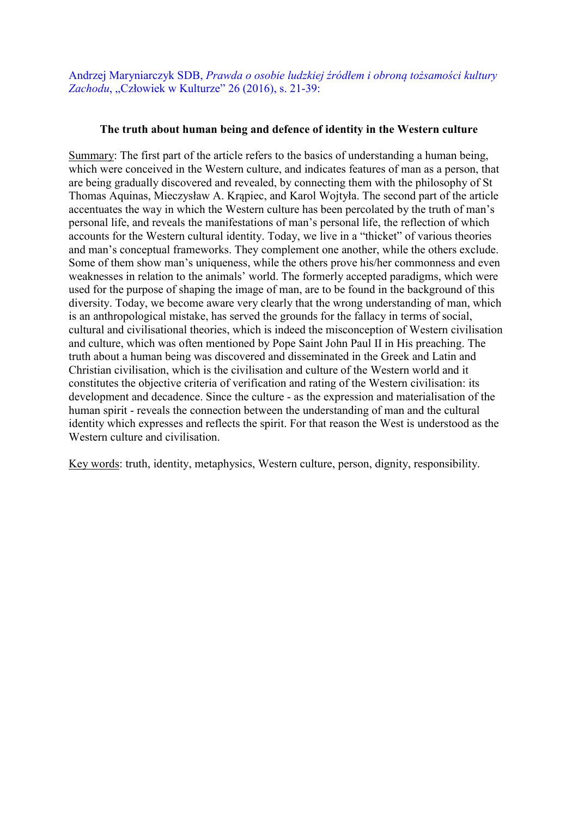Andrzej Maryniarczyk SDB, *Prawda o osobie ludzkiej źródłem i obroną tożsamości kultury*  Zachodu, "Człowiek w Kulturze" 26 (2016), s. 21-39:

## The truth about human being and defence of identity in the Western culture

Summary: The first part of the article refers to the basics of understanding a human being, which were conceived in the Western culture, and indicates features of man as a person, that are being gradually discovered and revealed, by connecting them with the philosophy of St Thomas Aquinas, Mieczysław A. Krąpiec, and Karol Wojtyła. The second part of the article accentuates the way in which the Western culture has been percolated by the truth of man's personal life, and reveals the manifestations of man's personal life, the reflection of which accounts for the Western cultural identity. Today, we live in a "thicket" of various theories and man's conceptual frameworks. They complement one another, while the others exclude. Some of them show man's uniqueness, while the others prove his/her commonness and even weaknesses in relation to the animals' world. The formerly accepted paradigms, which were used for the purpose of shaping the image of man, are to be found in the background of this diversity. Today, we become aware very clearly that the wrong understanding of man, which is an anthropological mistake, has served the grounds for the fallacy in terms of social, cultural and civilisational theories, which is indeed the misconception of Western civilisation and culture, which was often mentioned by Pope Saint John Paul II in His preaching. The truth about a human being was discovered and disseminated in the Greek and Latin and Christian civilisation, which is the civilisation and culture of the Western world and it constitutes the objective criteria of verification and rating of the Western civilisation: its development and decadence. Since the culture - as the expression and materialisation of the human spirit - reveals the connection between the understanding of man and the cultural identity which expresses and reflects the spirit. For that reason the West is understood as the Western culture and civilisation.

Key words: truth, identity, metaphysics, Western culture, person, dignity, responsibility.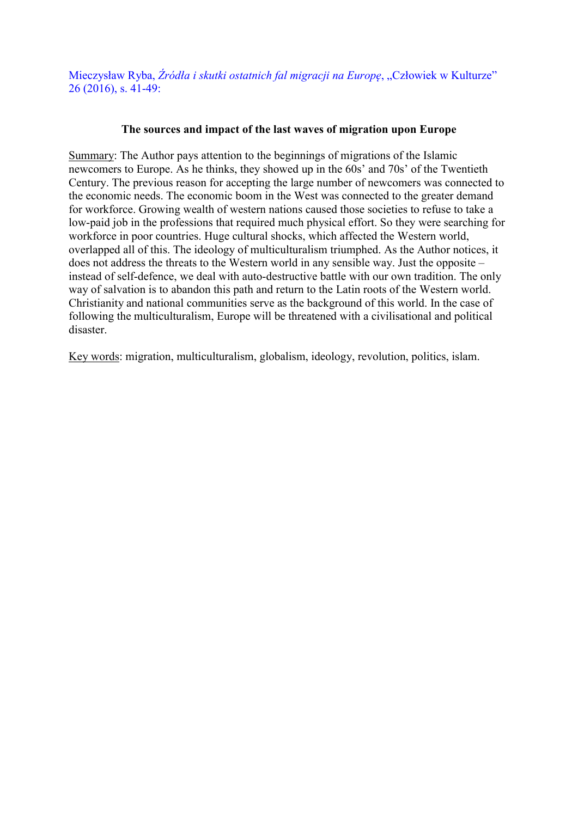Mieczysław Ryba, Źródła i skutki ostatnich fal migracji na Europę, "Człowiek w Kulturze" 26 (2016), s. 41-49:

# The sources and impact of the last waves of migration upon Europe

Summary: The Author pays attention to the beginnings of migrations of the Islamic newcomers to Europe. As he thinks, they showed up in the 60s' and 70s' of the Twentieth Century. The previous reason for accepting the large number of newcomers was connected to the economic needs. The economic boom in the West was connected to the greater demand for workforce. Growing wealth of western nations caused those societies to refuse to take a low-paid job in the professions that required much physical effort. So they were searching for workforce in poor countries. Huge cultural shocks, which affected the Western world, overlapped all of this. The ideology of multiculturalism triumphed. As the Author notices, it does not address the threats to the Western world in any sensible way. Just the opposite – instead of self-defence, we deal with auto-destructive battle with our own tradition. The only way of salvation is to abandon this path and return to the Latin roots of the Western world. Christianity and national communities serve as the background of this world. In the case of following the multiculturalism, Europe will be threatened with a civilisational and political disaster.

Key words: migration, multiculturalism, globalism, ideology, revolution, politics, islam.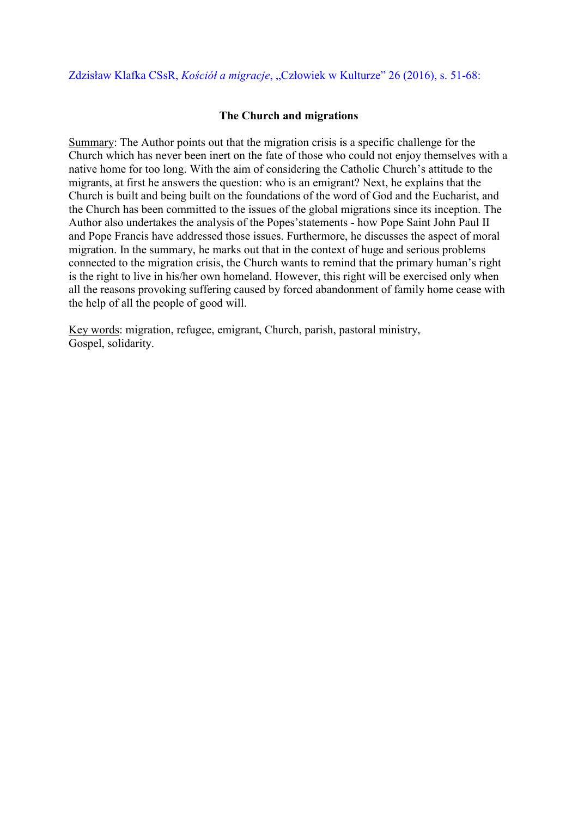# Zdzisław Klafka CSsR, *Kościół a migracje*, "Człowiek w Kulturze" 26 (2016), s. 51-68:

#### The Church and migrations

Summary: The Author points out that the migration crisis is a specific challenge for the Church which has never been inert on the fate of those who could not enjoy themselves with a native home for too long. With the aim of considering the Catholic Church's attitude to the migrants, at first he answers the question: who is an emigrant? Next, he explains that the Church is built and being built on the foundations of the word of God and the Eucharist, and the Church has been committed to the issues of the global migrations since its inception. The Author also undertakes the analysis of the Popes'statements - how Pope Saint John Paul II and Pope Francis have addressed those issues. Furthermore, he discusses the aspect of moral migration. In the summary, he marks out that in the context of huge and serious problems connected to the migration crisis, the Church wants to remind that the primary human's right is the right to live in his/her own homeland. However, this right will be exercised only when all the reasons provoking suffering caused by forced abandonment of family home cease with the help of all the people of good will.

Key words: migration, refugee, emigrant, Church, parish, pastoral ministry, Gospel, solidarity.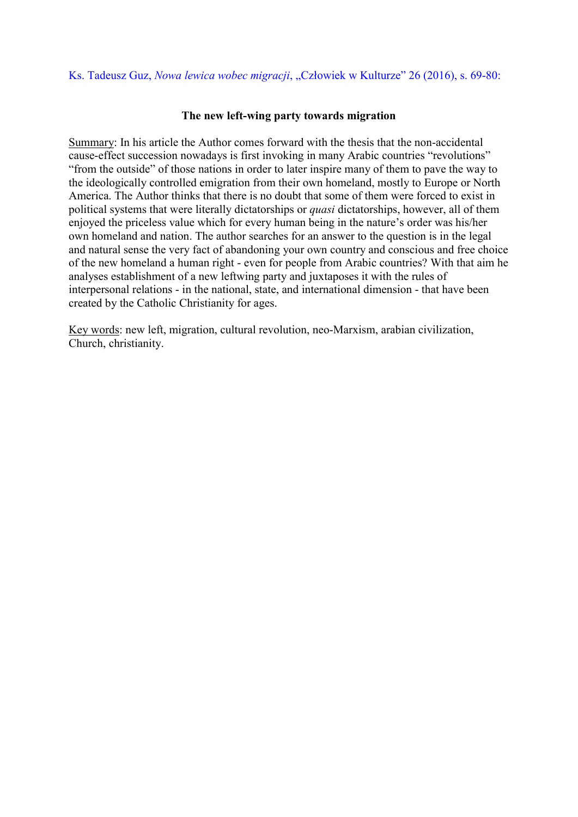## Ks. Tadeusz Guz, *Nowa lewica wobec migracji*, "Człowiek w Kulturze" 26 (2016), s. 69-80:

#### The new left-wing party towards migration

Summary: In his article the Author comes forward with the thesis that the non-accidental cause-effect succession nowadays is first invoking in many Arabic countries "revolutions" "from the outside" of those nations in order to later inspire many of them to pave the way to the ideologically controlled emigration from their own homeland, mostly to Europe or North America. The Author thinks that there is no doubt that some of them were forced to exist in political systems that were literally dictatorships or *quasi* dictatorships, however, all of them enjoyed the priceless value which for every human being in the nature's order was his/her own homeland and nation. The author searches for an answer to the question is in the legal and natural sense the very fact of abandoning your own country and conscious and free choice of the new homeland a human right - even for people from Arabic countries? With that aim he analyses establishment of a new leftwing party and juxtaposes it with the rules of interpersonal relations - in the national, state, and international dimension - that have been created by the Catholic Christianity for ages.

Key words: new left, migration, cultural revolution, neo-Marxism, arabian civilization, Church, christianity.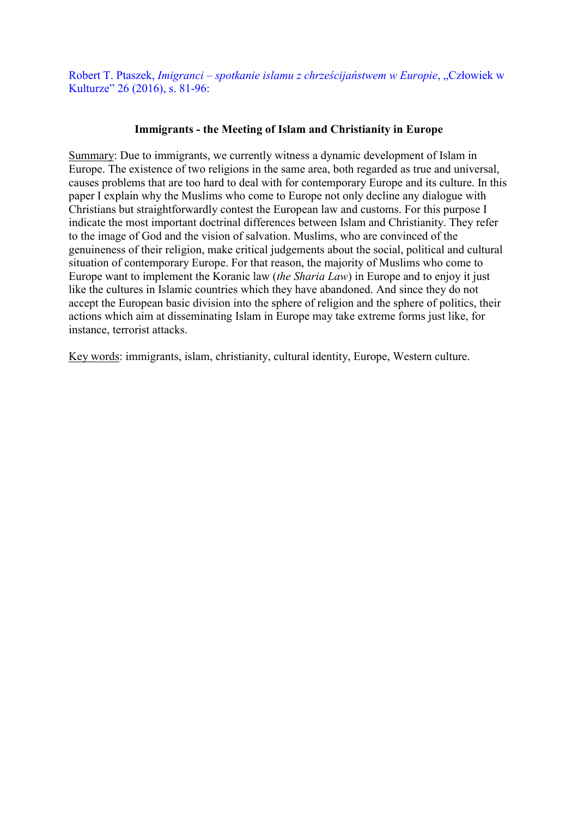Robert T. Ptaszek, *Imigranci – spotkanie islamu z chrześcijaństwem w Europie*, "Człowiek w Kulturze" 26 (2016), s. 81-96:

## Immigrants - the Meeting of Islam and Christianity in Europe

Summary: Due to immigrants, we currently witness a dynamic development of Islam in Europe. The existence of two religions in the same area, both regarded as true and universal, causes problems that are too hard to deal with for contemporary Europe and its culture. In this paper I explain why the Muslims who come to Europe not only decline any dialogue with Christians but straightforwardly contest the European law and customs. For this purpose I indicate the most important doctrinal differences between Islam and Christianity. They refer to the image of God and the vision of salvation. Muslims, who are convinced of the genuineness of their religion, make critical judgements about the social, political and cultural situation of contemporary Europe. For that reason, the majority of Muslims who come to Europe want to implement the Koranic law (*the Sharia Law*) in Europe and to enjoy it just like the cultures in Islamic countries which they have abandoned. And since they do not accept the European basic division into the sphere of religion and the sphere of politics, their actions which aim at disseminating Islam in Europe may take extreme forms just like, for instance, terrorist attacks.

Key words: immigrants, islam, christianity, cultural identity, Europe, Western culture.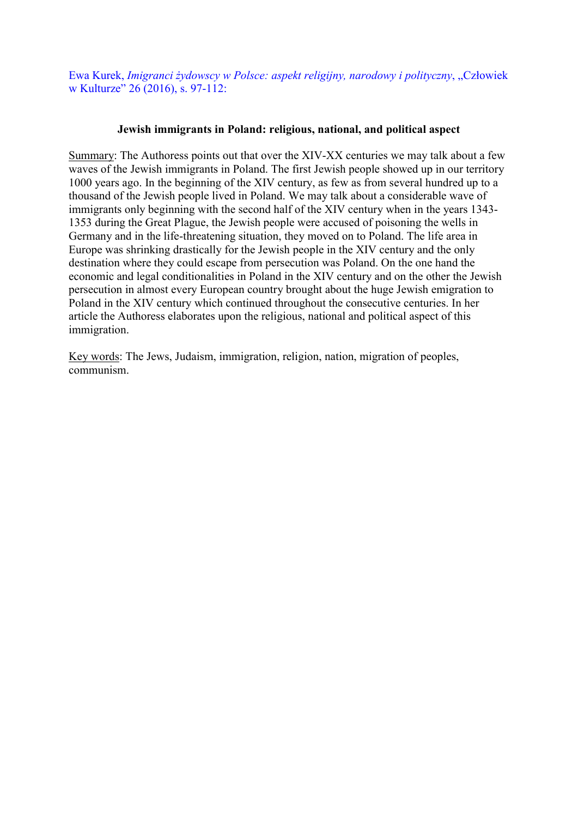Ewa Kurek, *Imigranci żydowscy w Polsce: aspekt religijny, narodowy i polityczny*, "Człowiek w Kulturze" 26 (2016), s. 97-112:

# Jewish immigrants in Poland: religious, national, and political aspect

Summary: The Authoress points out that over the XIV-XX centuries we may talk about a few waves of the Jewish immigrants in Poland. The first Jewish people showed up in our territory 1000 years ago. In the beginning of the XIV century, as few as from several hundred up to a thousand of the Jewish people lived in Poland. We may talk about a considerable wave of immigrants only beginning with the second half of the XIV century when in the years 1343- 1353 during the Great Plague, the Jewish people were accused of poisoning the wells in Germany and in the life-threatening situation, they moved on to Poland. The life area in Europe was shrinking drastically for the Jewish people in the XIV century and the only destination where they could escape from persecution was Poland. On the one hand the economic and legal conditionalities in Poland in the XIV century and on the other the Jewish persecution in almost every European country brought about the huge Jewish emigration to Poland in the XIV century which continued throughout the consecutive centuries. In her article the Authoress elaborates upon the religious, national and political aspect of this immigration.

Key words: The Jews, Judaism, immigration, religion, nation, migration of peoples, communism.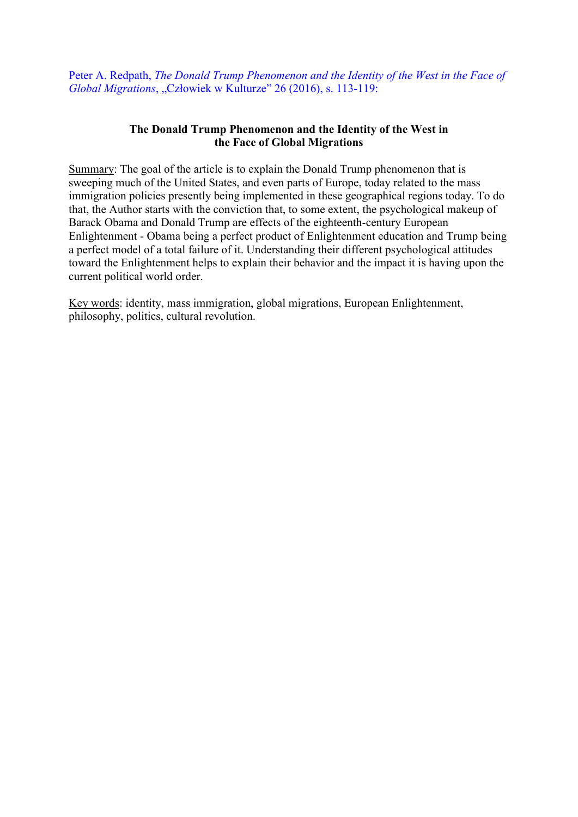Peter A. Redpath, *The Donald Trump Phenomenon and the Identity of the West in the Face of Global Migrations*, "Człowiek w Kulturze" 26 (2016), s. 113-119:

## The Donald Trump Phenomenon and the Identity of the West in the Face of Global Migrations

Summary: The goal of the article is to explain the Donald Trump phenomenon that is sweeping much of the United States, and even parts of Europe, today related to the mass immigration policies presently being implemented in these geographical regions today. To do that, the Author starts with the conviction that, to some extent, the psychological makeup of Barack Obama and Donald Trump are effects of the eighteenth-century European Enlightenment - Obama being a perfect product of Enlightenment education and Trump being a perfect model of a total failure of it. Understanding their different psychological attitudes toward the Enlightenment helps to explain their behavior and the impact it is having upon the current political world order.

Key words: identity, mass immigration, global migrations, European Enlightenment, philosophy, politics, cultural revolution.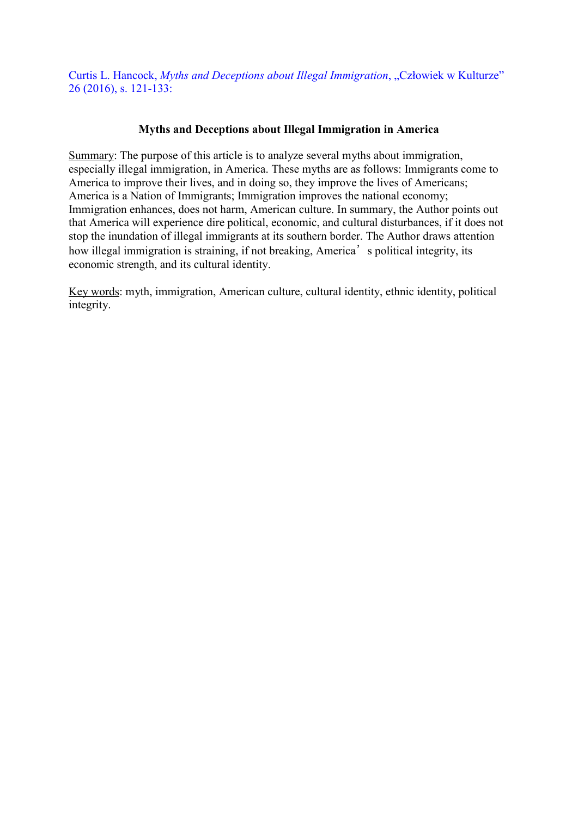Curtis L. Hancock, *Myths and Deceptions about Illegal Immigration*, "Człowiek w Kulturze" 26 (2016), s. 121-133:

# Myths and Deceptions about Illegal Immigration in America

Summary: The purpose of this article is to analyze several myths about immigration, especially illegal immigration, in America. These myths are as follows: Immigrants come to America to improve their lives, and in doing so, they improve the lives of Americans; America is a Nation of Immigrants; Immigration improves the national economy; Immigration enhances, does not harm, American culture. In summary, the Author points out that America will experience dire political, economic, and cultural disturbances, if it does not stop the inundation of illegal immigrants at its southern border. The Author draws attention how illegal immigration is straining, if not breaking, America's political integrity, its economic strength, and its cultural identity.

Key words: myth, immigration, American culture, cultural identity, ethnic identity, political integrity.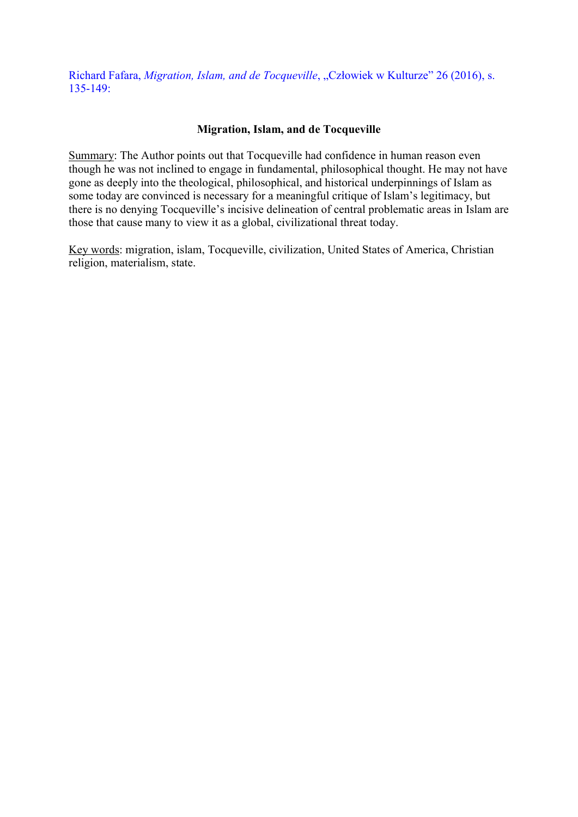Richard Fafara, *Migration, Islam, and de Tocqueville*, "Człowiek w Kulturze" 26 (2016), s. 135-149:

## Migration, Islam, and de Tocqueville

Summary: The Author points out that Tocqueville had confidence in human reason even though he was not inclined to engage in fundamental, philosophical thought. He may not have gone as deeply into the theological, philosophical, and historical underpinnings of Islam as some today are convinced is necessary for a meaningful critique of Islam's legitimacy, but there is no denying Tocqueville's incisive delineation of central problematic areas in Islam are those that cause many to view it as a global, civilizational threat today.

Key words: migration, islam, Tocqueville, civilization, United States of America, Christian religion, materialism, state.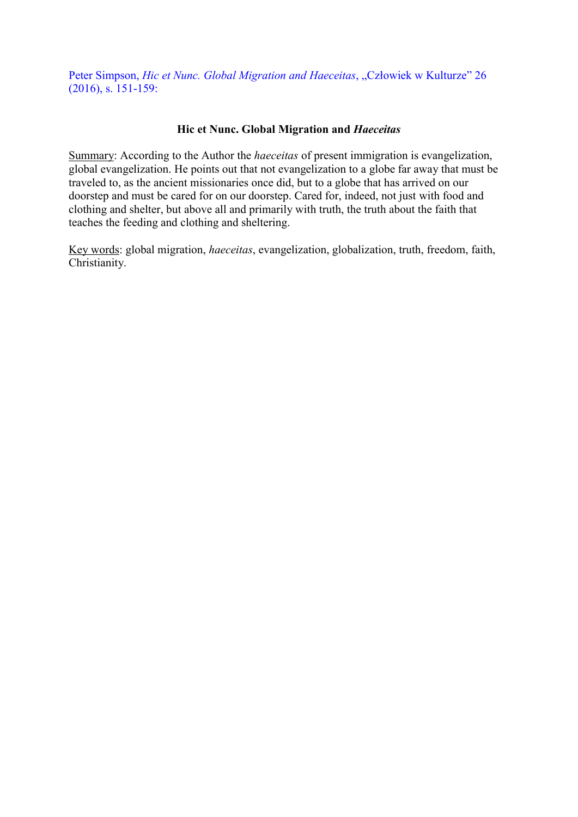Peter Simpson, *Hic et Nunc. Global Migration and Haeceitas*, "Człowiek w Kulturze" 26 (2016), s. 151-159:

## Hic et Nunc. Global Migration and *Haeceitas*

Summary: According to the Author the *haeceitas* of present immigration is evangelization, global evangelization. He points out that not evangelization to a globe far away that must be traveled to, as the ancient missionaries once did, but to a globe that has arrived on our doorstep and must be cared for on our doorstep. Cared for, indeed, not just with food and clothing and shelter, but above all and primarily with truth, the truth about the faith that teaches the feeding and clothing and sheltering.

Key words: global migration, *haeceitas*, evangelization, globalization, truth, freedom, faith, Christianity.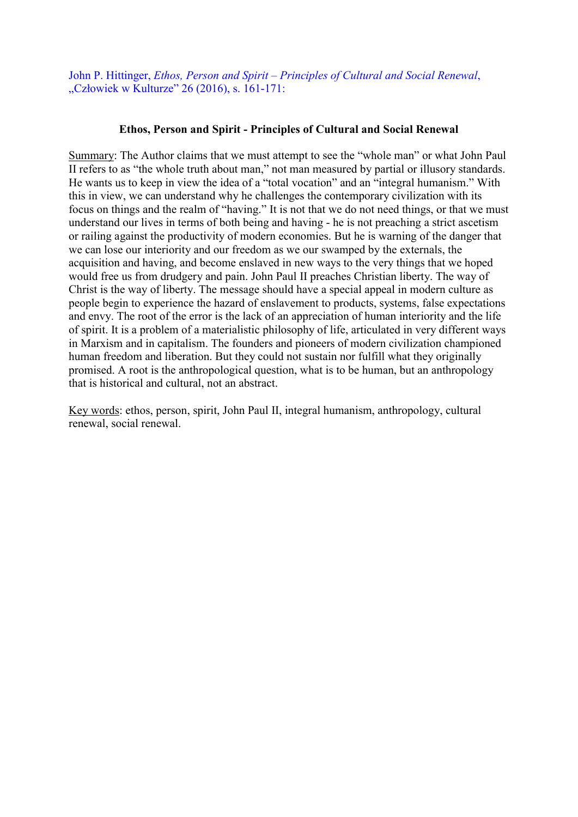John P. Hittinger, *Ethos, Person and Spirit – Principles of Cultural and Social Renewal*, "Człowiek w Kulturze" 26 (2016), s. 161-171:

### Ethos, Person and Spirit - Principles of Cultural and Social Renewal

Summary: The Author claims that we must attempt to see the "whole man" or what John Paul II refers to as "the whole truth about man," not man measured by partial or illusory standards. He wants us to keep in view the idea of a "total vocation" and an "integral humanism." With this in view, we can understand why he challenges the contemporary civilization with its focus on things and the realm of "having." It is not that we do not need things, or that we must understand our lives in terms of both being and having - he is not preaching a strict ascetism or railing against the productivity of modern economies. But he is warning of the danger that we can lose our interiority and our freedom as we our swamped by the externals, the acquisition and having, and become enslaved in new ways to the very things that we hoped would free us from drudgery and pain. John Paul II preaches Christian liberty. The way of Christ is the way of liberty. The message should have a special appeal in modern culture as people begin to experience the hazard of enslavement to products, systems, false expectations and envy. The root of the error is the lack of an appreciation of human interiority and the life of spirit. It is a problem of a materialistic philosophy of life, articulated in very different ways in Marxism and in capitalism. The founders and pioneers of modern civilization championed human freedom and liberation. But they could not sustain nor fulfill what they originally promised. A root is the anthropological question, what is to be human, but an anthropology that is historical and cultural, not an abstract.

Key words: ethos, person, spirit, John Paul II, integral humanism, anthropology, cultural renewal, social renewal.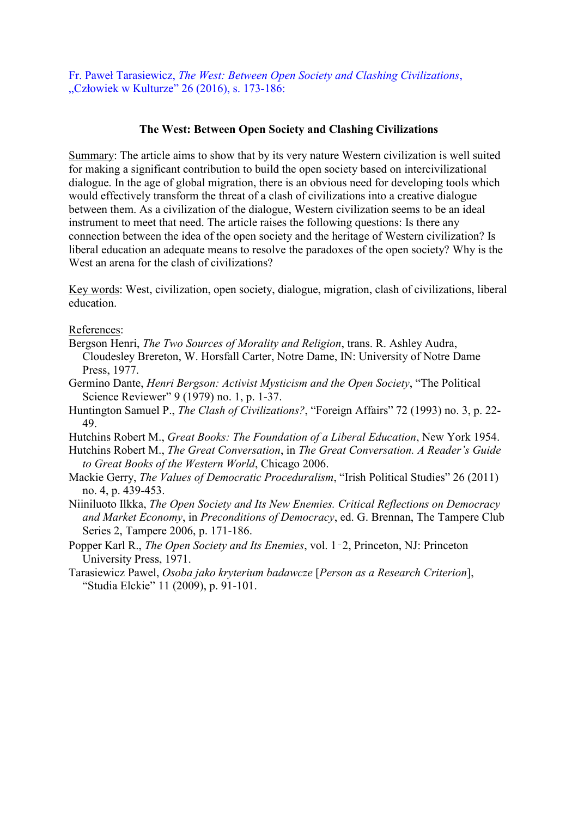Fr. Paweł Tarasiewicz, *The West: Between Open Society and Clashing Civilizations*, "Człowiek w Kulturze" 26 (2016), s. 173-186:

## The West: Between Open Society and Clashing Civilizations

Summary: The article aims to show that by its very nature Western civilization is well suited for making a significant contribution to build the open society based on intercivilizational dialogue. In the age of global migration, there is an obvious need for developing tools which would effectively transform the threat of a clash of civilizations into a creative dialogue between them. As a civilization of the dialogue, Western civilization seems to be an ideal instrument to meet that need. The article raises the following questions: Is there any connection between the idea of the open society and the heritage of Western civilization? Is liberal education an adequate means to resolve the paradoxes of the open society? Why is the West an arena for the clash of civilizations?

Key words: West, civilization, open society, dialogue, migration, clash of civilizations, liberal education.

References:

- Bergson Henri, *The Two Sources of Morality and Religion*, trans. R. Ashley Audra, Cloudesley Brereton, W. Horsfall Carter, Notre Dame, IN: University of Notre Dame Press, 1977.
- Germino Dante, *Henri Bergson: Activist Mysticism and the Open Society*, "The Political Science Reviewer" 9 (1979) no. 1, p. 1-37.
- Huntington Samuel P., *The Clash of Civilizations?*, "Foreign Affairs" 72 (1993) no. 3, p. 22- 49.

Hutchins Robert M., *Great Books: The Foundation of a Liberal Education*, New York 1954.

- Hutchins Robert M., *The Great Conversation*, in *The Great Conversation. A Reader's Guide to Great Books of the Western World*, Chicago 2006.
- Mackie Gerry, *The Values of Democratic Proceduralism*, "Irish Political Studies" 26 (2011) no. 4, p. 439-453.
- Niiniluoto Ilkka, *The Open Society and Its New Enemies. Critical Reflections on Democracy and Market Economy*, in *Preconditions of Democracy*, ed. G. Brennan, The Tampere Club Series 2, Tampere 2006, p. 171-186.
- Popper Karl R., *The Open Society and Its Enemies*, vol. 1–2, Princeton, NJ: Princeton University Press, 1971.
- Tarasiewicz Pawel, *Osoba jako kryterium badawcze* [*Person as a Research Criterion*], "Studia Elckie" 11 (2009), p. 91-101.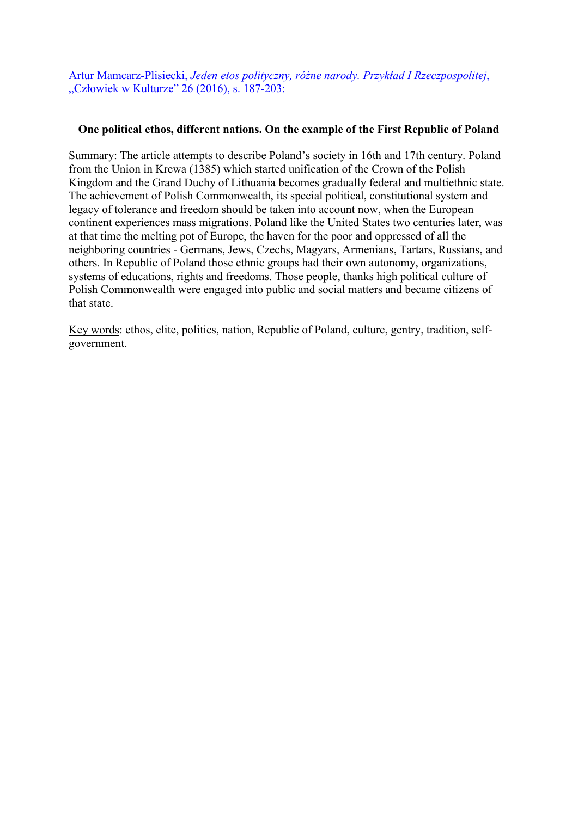Artur Mamcarz-Plisiecki, *Jeden etos polityczny, różne narody. Przykład I Rzeczpospolitej*, "Człowiek w Kulturze" 26 (2016), s. 187-203:

## One political ethos, different nations. On the example of the First Republic of Poland

Summary: The article attempts to describe Poland's society in 16th and 17th century. Poland from the Union in Krewa (1385) which started unification of the Crown of the Polish Kingdom and the Grand Duchy of Lithuania becomes gradually federal and multiethnic state. The achievement of Polish Commonwealth, its special political, constitutional system and legacy of tolerance and freedom should be taken into account now, when the European continent experiences mass migrations. Poland like the United States two centuries later, was at that time the melting pot of Europe, the haven for the poor and oppressed of all the neighboring countries - Germans, Jews, Czechs, Magyars, Armenians, Tartars, Russians, and others. In Republic of Poland those ethnic groups had their own autonomy, organizations, systems of educations, rights and freedoms. Those people, thanks high political culture of Polish Commonwealth were engaged into public and social matters and became citizens of that state.

Key words: ethos, elite, politics, nation, Republic of Poland, culture, gentry, tradition, selfgovernment.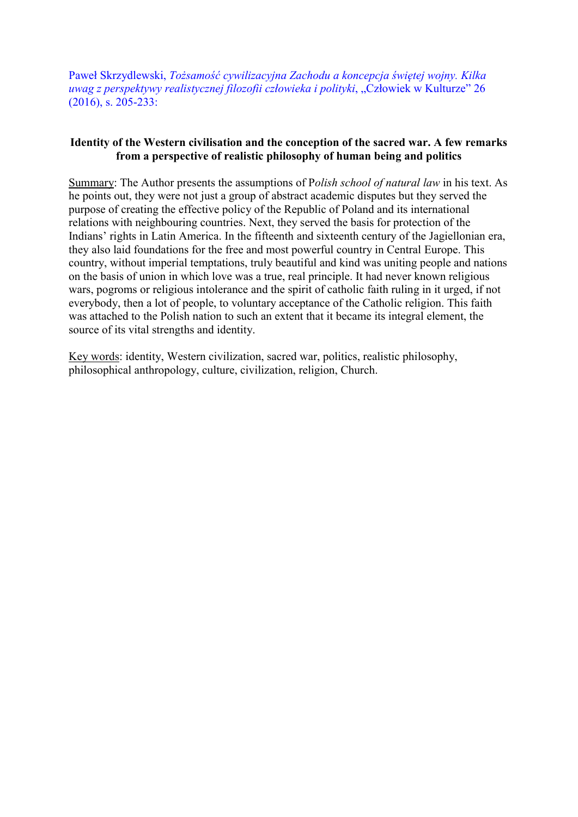Paweł Skrzydlewski, *Tożsamość cywilizacyjna Zachodu a koncepcja świętej wojny. Kilka uwag z perspektywy realistycznej filozofii człowieka i polityki*, "Człowiek w Kulturze" 26 (2016), s. 205-233:

# Identity of the Western civilisation and the conception of the sacred war. A few remarks from a perspective of realistic philosophy of human being and politics

Summary: The Author presents the assumptions of P*olish school of natural law* in his text. As he points out, they were not just a group of abstract academic disputes but they served the purpose of creating the effective policy of the Republic of Poland and its international relations with neighbouring countries. Next, they served the basis for protection of the Indians' rights in Latin America. In the fifteenth and sixteenth century of the Jagiellonian era, they also laid foundations for the free and most powerful country in Central Europe. This country, without imperial temptations, truly beautiful and kind was uniting people and nations on the basis of union in which love was a true, real principle. It had never known religious wars, pogroms or religious intolerance and the spirit of catholic faith ruling in it urged, if not everybody, then a lot of people, to voluntary acceptance of the Catholic religion. This faith was attached to the Polish nation to such an extent that it became its integral element, the source of its vital strengths and identity.

Key words: identity, Western civilization, sacred war, politics, realistic philosophy, philosophical anthropology, culture, civilization, religion, Church.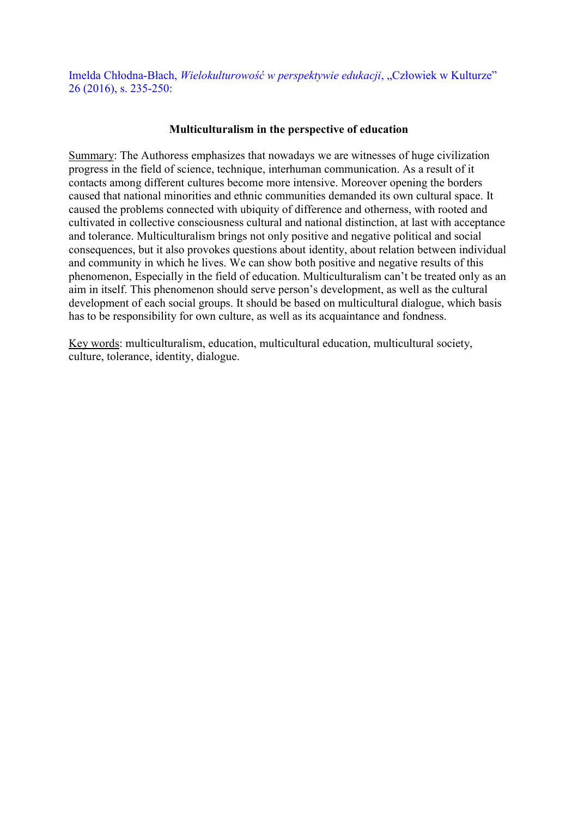Imelda Chłodna-Błach, *Wielokulturowość w perspektywie edukacji*, "Człowiek w Kulturze" 26 (2016), s. 235-250:

## Multiculturalism in the perspective of education

Summary: The Authoress emphasizes that nowadays we are witnesses of huge civilization progress in the field of science, technique, interhuman communication. As a result of it contacts among different cultures become more intensive. Moreover opening the borders caused that national minorities and ethnic communities demanded its own cultural space. It caused the problems connected with ubiquity of difference and otherness, with rooted and cultivated in collective consciousness cultural and national distinction, at last with acceptance and tolerance. Multiculturalism brings not only positive and negative political and social consequences, but it also provokes questions about identity, about relation between individual and community in which he lives. We can show both positive and negative results of this phenomenon, Especially in the field of education. Multiculturalism can't be treated only as an aim in itself. This phenomenon should serve person's development, as well as the cultural development of each social groups. It should be based on multicultural dialogue, which basis has to be responsibility for own culture, as well as its acquaintance and fondness.

Key words: multiculturalism, education, multicultural education, multicultural society, culture, tolerance, identity, dialogue.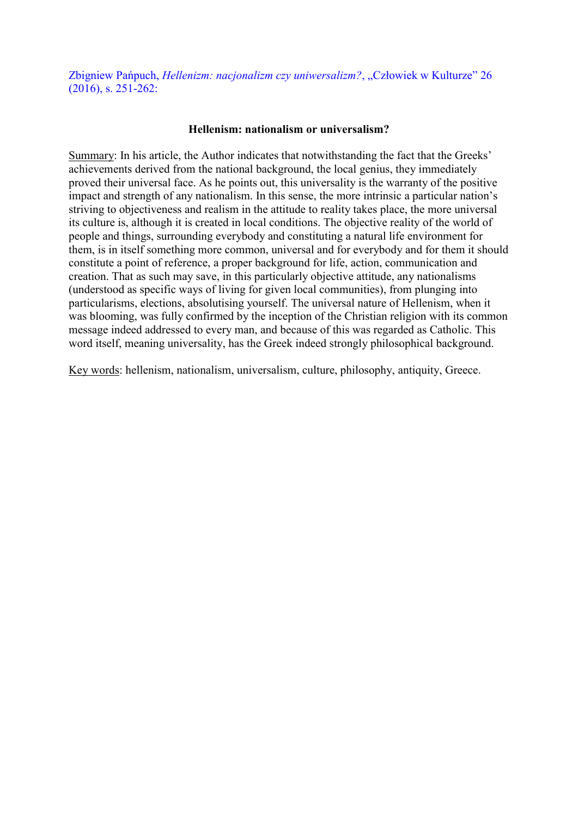Zbigniew Pańpuch, *Hellenizm: nacjonalizm czy uniwersalizm?*, "Człowiek w Kulturze" 26 (2016), s. 251-262:

#### Hellenism: nationalism or universalism?

Summary: In his article, the Author indicates that notwithstanding the fact that the Greeks' achievements derived from the national background, the local genius, they immediately proved their universal face. As he points out, this universality is the warranty of the positive impact and strength of any nationalism. In this sense, the more intrinsic a particular nation's striving to objectiveness and realism in the attitude to reality takes place, the more universal its culture is, although it is created in local conditions. The objective reality of the world of people and things, surrounding everybody and constituting a natural life environment for them, is in itself something more common, universal and for everybody and for them it should constitute a point of reference, a proper background for life, action, communication and creation. That as such may save, in this particularly objective attitude, any nationalisms (understood as specific ways of living for given local communities), from plunging into particularisms, elections, absolutising yourself. The universal nature of Hellenism, when it was blooming, was fully confirmed by the inception of the Christian religion with its common message indeed addressed to every man, and because of this was regarded as Catholic. This word itself, meaning universality, has the Greek indeed strongly philosophical background.

Key words: hellenism, nationalism, universalism, culture, philosophy, antiquity, Greece.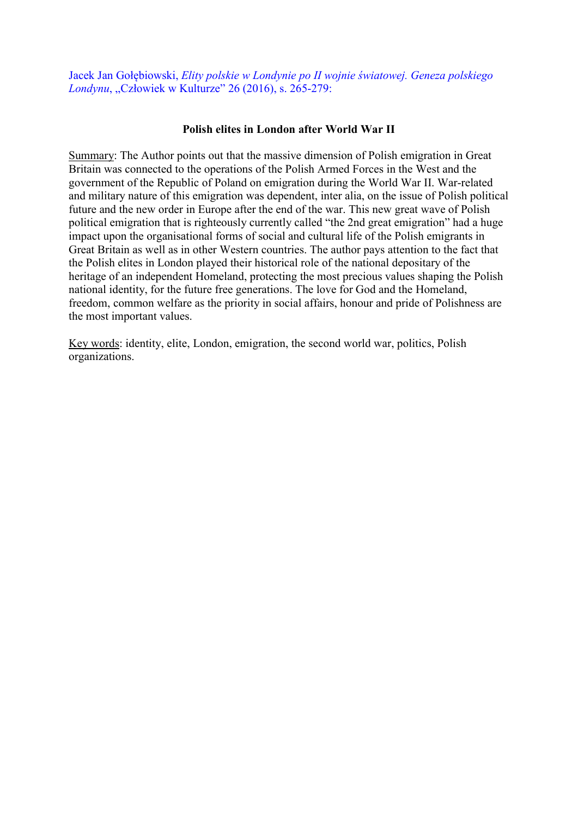Jacek Jan Gołębiowski, *Elity polskie w Londynie po II wojnie światowej. Geneza polskiego Londynu*, "Człowiek w Kulturze" 26 (2016), s. 265-279:

### Polish elites in London after World War II

Summary: The Author points out that the massive dimension of Polish emigration in Great Britain was connected to the operations of the Polish Armed Forces in the West and the government of the Republic of Poland on emigration during the World War II. War-related and military nature of this emigration was dependent, inter alia, on the issue of Polish political future and the new order in Europe after the end of the war. This new great wave of Polish political emigration that is righteously currently called "the 2nd great emigration" had a huge impact upon the organisational forms of social and cultural life of the Polish emigrants in Great Britain as well as in other Western countries. The author pays attention to the fact that the Polish elites in London played their historical role of the national depositary of the heritage of an independent Homeland, protecting the most precious values shaping the Polish national identity, for the future free generations. The love for God and the Homeland, freedom, common welfare as the priority in social affairs, honour and pride of Polishness are the most important values.

Key words: identity, elite, London, emigration, the second world war, politics, Polish organizations.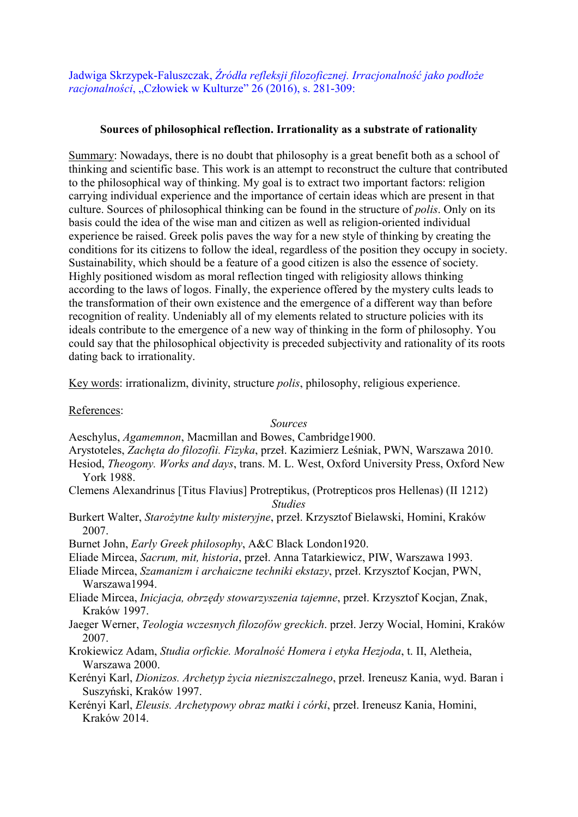Jadwiga Skrzypek-Faluszczak, *Źródła refleksji filozoficznej. Irracjonalność jako podłoże racjonalności*, "Człowiek w Kulturze" 26 (2016), s. 281-309:

# Sources of philosophical reflection. Irrationality as a substrate of rationality

Summary: Nowadays, there is no doubt that philosophy is a great benefit both as a school of thinking and scientific base. This work is an attempt to reconstruct the culture that contributed to the philosophical way of thinking. My goal is to extract two important factors: religion carrying individual experience and the importance of certain ideas which are present in that culture. Sources of philosophical thinking can be found in the structure of *polis*. Only on its basis could the idea of the wise man and citizen as well as religion-oriented individual experience be raised. Greek polis paves the way for a new style of thinking by creating the conditions for its citizens to follow the ideal, regardless of the position they occupy in society. Sustainability, which should be a feature of a good citizen is also the essence of society. Highly positioned wisdom as moral reflection tinged with religiosity allows thinking according to the laws of logos. Finally, the experience offered by the mystery cults leads to the transformation of their own existence and the emergence of a different way than before recognition of reality. Undeniably all of my elements related to structure policies with its ideals contribute to the emergence of a new way of thinking in the form of philosophy. You could say that the philosophical objectivity is preceded subjectivity and rationality of its roots dating back to irrationality.

Key words: irrationalizm, divinity, structure *polis*, philosophy, religious experience.

References:

*Sources*

Aeschylus, *Agamemnon*, Macmillan and Bowes, Cambridge1900.

- Arystoteles, *Zachęta do filozofii. Fizyka*, przeł. Kazimierz Leśniak, PWN, Warszawa 2010.
- Hesiod, *Theogony. Works and days*, trans. M. L. West, Oxford University Press, Oxford New York 1988.
- Clemens Alexandrinus [Titus Flavius] Protreptikus, (Protrepticos pros Hellenas) (II 1212)

*Studies*

Burkert Walter, *Starożytne kulty misteryjne*, przeł. Krzysztof Bielawski, Homini, Kraków 2007.

Burnet John, *Early Greek philosophy*, A&C Black London1920.

- Eliade Mircea, *Sacrum, mit, historia*, przeł. Anna Tatarkiewicz, PIW, Warszawa 1993.
- Eliade Mircea, *Szamanizm i archaiczne techniki ekstazy*, przeł. Krzysztof Kocjan, PWN, Warszawa1994.
- Eliade Mircea, *Inicjacja, obrzędy stowarzyszenia tajemne*, przeł. Krzysztof Kocjan, Znak, Kraków 1997.
- Jaeger Werner, *Teologia wczesnych filozofów greckich*. przeł. Jerzy Wocial, Homini, Kraków 2007.
- Krokiewicz Adam, *Studia orfickie. Moralność Homera i etyka Hezjoda*, t. II, Aletheia, Warszawa 2000.
- Kerényi Karl, *Dionizos. Archetyp życia niezniszczalnego*, przeł. Ireneusz Kania, wyd. Baran i Suszyński, Kraków 1997.
- Kerényi Karl, *Eleusis. Archetypowy obraz matki i córki*, przeł. Ireneusz Kania, Homini, Kraków 2014.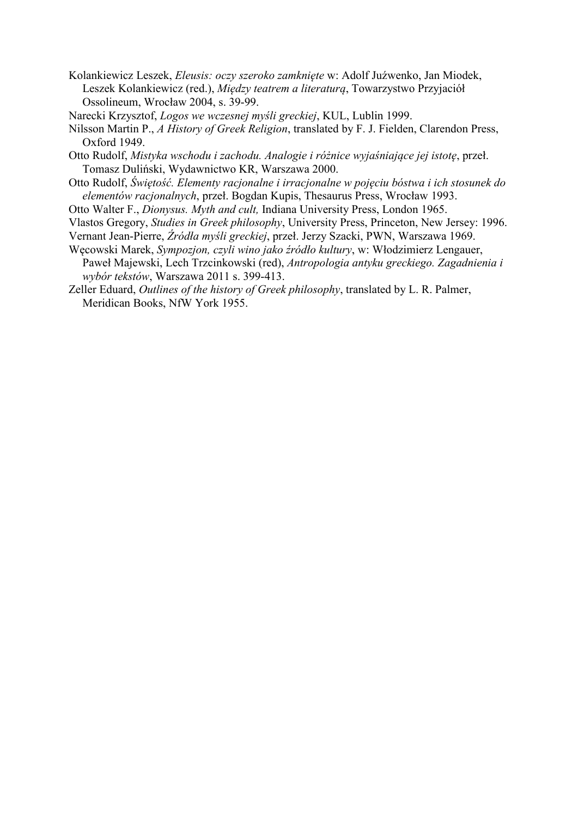- Kolankiewicz Leszek, *Eleusis: oczy szeroko zamknięte* w: Adolf Juźwenko, Jan Miodek, Leszek Kolankiewicz (red.), *Między teatrem a literaturą*, Towarzystwo Przyjaciół Ossolineum, Wrocław 2004, s. 39-99.
- Narecki Krzysztof, *Logos we wczesnej myśli greckiej*, KUL, Lublin 1999.
- Nilsson Martin P., *A History of Greek Religion*, translated by F. J. Fielden, Clarendon Press, Oxford 1949.
- Otto Rudolf, *Mistyka wschodu i zachodu. Analogie i różnice wyjaśniające jej istotę*, przeł. Tomasz Duliński, Wydawnictwo KR, Warszawa 2000.
- Otto Rudolf, *Świętość. Elementy racjonalne i irracjonalne w pojęciu bóstwa i ich stosunek do elementów racjonalnych*, przeł. Bogdan Kupis, Thesaurus Press, Wrocław 1993.
- Otto Walter F., *Dionysus. Myth and cult,* Indiana University Press, London 1965.
- Vlastos Gregory, *Studies in Greek philosophy*, University Press, Princeton, New Jersey: 1996.
- Vernant Jean-Pierre, *Źródła myśli greckiej*, przeł. Jerzy Szacki, PWN, Warszawa 1969.
- Węcowski Marek, *Sympozjon, czyli wino jako źródło kultury*, w: Włodzimierz Lengauer, Paweł Majewski, Lech Trzcinkowski (red), *Antropologia antyku greckiego. Zagadnienia i wybór tekstów*, Warszawa 2011 s. 399-413.
- Zeller Eduard, *Outlines of the history of Greek philosophy*, translated by L. R. Palmer, Meridican Books, NfW York 1955.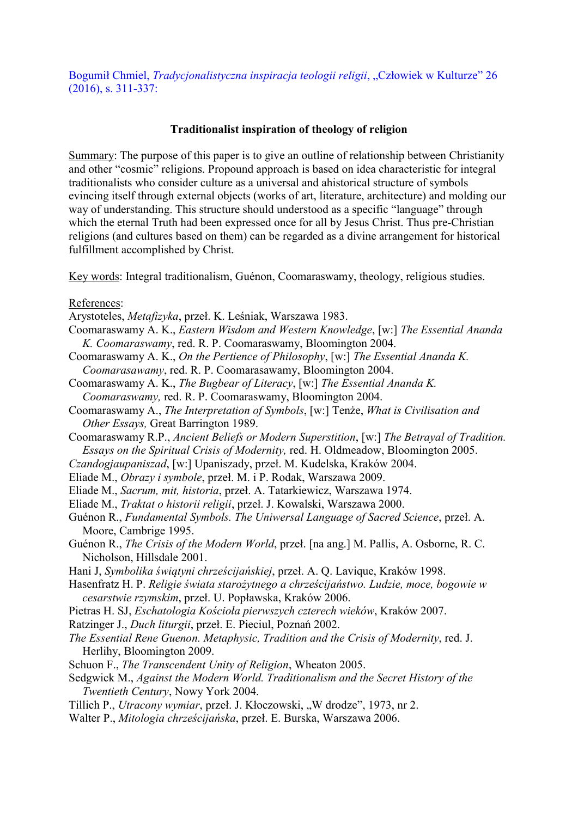Bogumił Chmiel, *Tradycjonalistyczna inspiracja teologii religii*, "Człowiek w Kulturze" 26 (2016), s. 311-337:

### Traditionalist inspiration of theology of religion

Summary: The purpose of this paper is to give an outline of relationship between Christianity and other "cosmic" religions. Propound approach is based on idea characteristic for integral traditionalists who consider culture as a universal and ahistorical structure of symbols evincing itself through external objects (works of art, literature, architecture) and molding our way of understanding. This structure should understood as a specific "language" through which the eternal Truth had been expressed once for all by Jesus Christ. Thus pre-Christian religions (and cultures based on them) can be regarded as a divine arrangement for historical fulfillment accomplished by Christ.

Key words: Integral traditionalism, Guénon, Coomaraswamy, theology, religious studies.

References:

- Arystoteles, *Metafizyka*, przeł. K. Leśniak, Warszawa 1983.
- Coomaraswamy A. K., *Eastern Wisdom and Western Knowledge*, [w:] *The Essential Ananda K. Coomaraswamy*, red. R. P. Coomaraswamy, Bloomington 2004.
- Coomaraswamy A. K., *On the Pertience of Philosophy*, [w:] *The Essential Ananda K. Coomarasawamy*, red. R. P. Coomarasawamy, Bloomington 2004.
- Coomaraswamy A. K., *The Bugbear of Literacy*, [w:] *The Essential Ananda K. Coomaraswamy,* red. R. P. Coomaraswamy, Bloomington 2004.
- Coomaraswamy A., *The Interpretation of Symbols*, [w:] Tenże, *What is Civilisation and Other Essays,* Great Barrington 1989.
- Coomaraswamy R.P., *Ancient Beliefs or Modern Superstition*, [w:] *The Betrayal of Tradition. Essays on the Spiritual Crisis of Modernity,* red. H. Oldmeadow, Bloomington 2005.
- *Czandogjaupaniszad*, [w:] Upaniszady, przeł. M. Kudelska, Kraków 2004.
- Eliade M., *Obrazy i symbole*, przeł. M. i P. Rodak, Warszawa 2009.
- Eliade M., *Sacrum, mit, historia*, przeł. A. Tatarkiewicz, Warszawa 1974.
- Eliade M., *Traktat o historii religii*, przeł. J. Kowalski, Warszawa 2000.
- Guénon R., *Fundamental Symbols. The Uniwersal Language of Sacred Science*, przeł. A. Moore, Cambrige 1995.
- Guénon R., *The Crisis of the Modern World*, przeł. [na ang.] M. Pallis, A. Osborne, R. C. Nicholson, Hillsdale 2001.
- Hani J, *Symbolika świątyni chrześcijańskiej*, przeł. A. Q. Lavique, Kraków 1998.
- Hasenfratz H. P. *Religie świata starożytnego a chrześcijaństwo. Ludzie, moce, bogowie w cesarstwie rzymskim*, przeł. U. Popławska, Kraków 2006.
- Pietras H. SJ, *Eschatologia Kościoła pierwszych czterech wieków*, Kraków 2007.
- Ratzinger J., *Duch liturgii*, przeł. E. Pieciul, Poznań 2002.
- *The Essential Rene Guenon. Metaphysic, Tradition and the Crisis of Modernity*, red. J. Herlihy, Bloomington 2009.
- Schuon F., *The Transcendent Unity of Religion*, Wheaton 2005.
- Sedgwick M., *Against the Modern World. Traditionalism and the Secret History of the Twentieth Century*, Nowy York 2004.
- Tillich P., *Utracony wymiar*, przeł. J. Kłoczowski, "W drodze", 1973, nr 2.
- Walter P., *Mitologia chrześcijańska*, przeł. E. Burska, Warszawa 2006.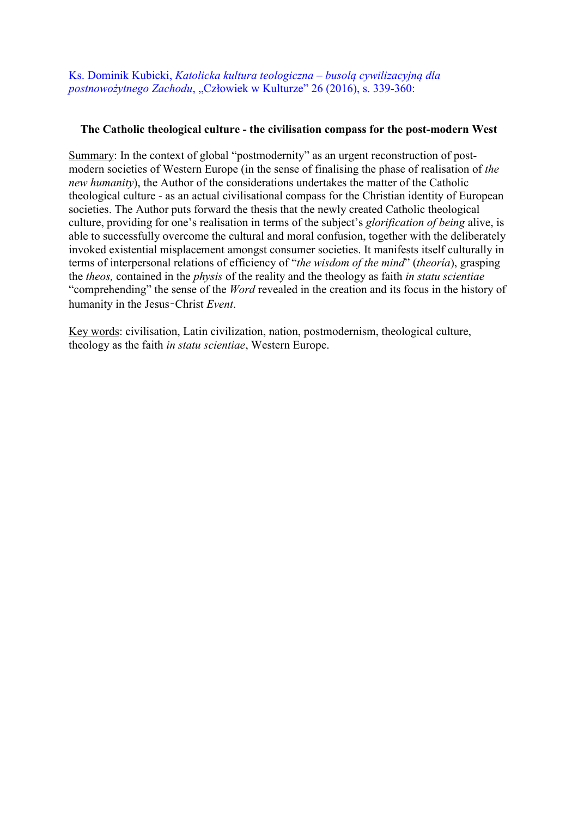Ks. Dominik Kubicki, *Katolicka kultura teologiczna – busolą cywilizacyjną dla postnowożytnego Zachodu*, "Człowiek w Kulturze" 26 (2016), s. 339-360:

## The Catholic theological culture - the civilisation compass for the post-modern West

Summary: In the context of global "postmodernity" as an urgent reconstruction of postmodern societies of Western Europe (in the sense of finalising the phase of realisation of *the new humanity*), the Author of the considerations undertakes the matter of the Catholic theological culture - as an actual civilisational compass for the Christian identity of European societies. The Author puts forward the thesis that the newly created Catholic theological culture, providing for one's realisation in terms of the subject's *glorification of being* alive, is able to successfully overcome the cultural and moral confusion, together with the deliberately invoked existential misplacement amongst consumer societies. It manifests itself culturally in terms of interpersonal relations of efficiency of "*the wisdom of the mind*" (*theoría*), grasping the *theos,* contained in the *physis* of the reality and the theology as faith *in statu scientiae*  "comprehending" the sense of the *Word* revealed in the creation and its focus in the history of humanity in the Jesus–Christ *Event*.

Key words: civilisation, Latin civilization, nation, postmodernism, theological culture, theology as the faith *in statu scientiae*, Western Europe.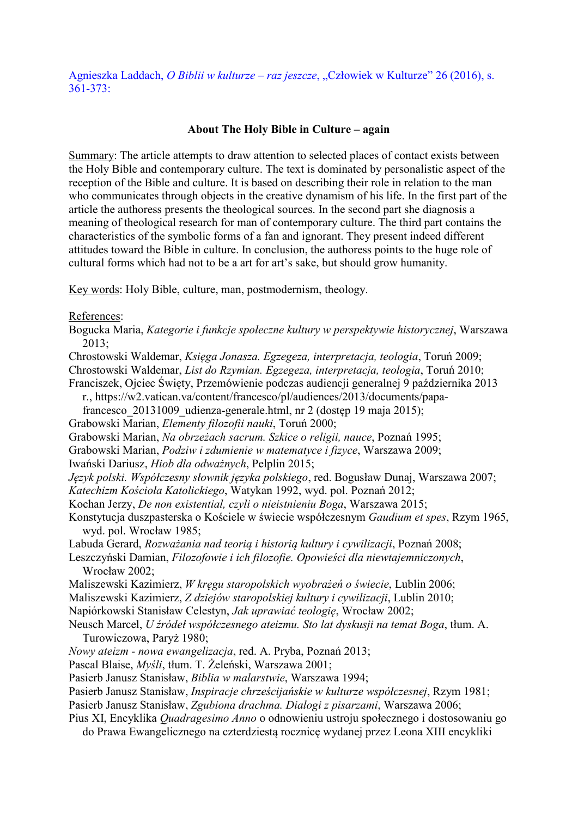Agnieszka Laddach, *O Biblii w kulturze – raz jeszcze*, "Człowiek w Kulturze" 26 (2016), s.  $361 - 373$ 

#### About The Holy Bible in Culture – again

Summary: The article attempts to draw attention to selected places of contact exists between the Holy Bible and contemporary culture. The text is dominated by personalistic aspect of the reception of the Bible and culture. It is based on describing their role in relation to the man who communicates through objects in the creative dynamism of his life. In the first part of the article the authoress presents the theological sources. In the second part she diagnosis a meaning of theological research for man of contemporary culture. The third part contains the characteristics of the symbolic forms of a fan and ignorant. They present indeed different attitudes toward the Bible in culture. In conclusion, the authoress points to the huge role of cultural forms which had not to be a art for art's sake, but should grow humanity.

Key words: Holy Bible, culture, man, postmodernism, theology.

References:

Bogucka Maria, *Kategorie i funkcje społeczne kultury w perspektywie historycznej*, Warszawa  $2013:$ 

Chrostowski Waldemar, *Księga Jonasza. Egzegeza, interpretacja, teologia*, Toruń 2009;

Chrostowski Waldemar, *List do Rzymian. Egzegeza, interpretacja, teologia*, Toruń 2010;

Franciszek, Ojciec Święty, Przemówienie podczas audiencji generalnej 9 października 2013

r., https://w2.vatican.va/content/francesco/pl/audiences/2013/documents/papa-

francesco 20131009 udienza-generale.html, nr 2 (dostęp 19 maja 2015);

Grabowski Marian, *Elementy filozofii nauki*, Toruń 2000;

Grabowski Marian, *Na obrzeżach sacrum. Szkice o religii, nauce*, Poznań 1995;

Grabowski Marian, *Podziw i zdumienie w matematyce i fizyce*, Warszawa 2009;

Iwański Dariusz, *Hiob dla odważnych*, Pelplin 2015;

*Język polski. Współczesny słownik języka polskiego*, red. Bogusław Dunaj, Warszawa 2007; *Katechizm Kościoła Katolickiego*, Watykan 1992, wyd. pol. Poznań 2012;

Kochan Jerzy, *De non existential, czyli o nieistnieniu Boga*, Warszawa 2015;

Konstytucja duszpasterska o Kościele w świecie współczesnym *Gaudium et spes*, Rzym 1965, wyd. pol. Wrocław 1985;

Labuda Gerard, *Rozważania nad teorią i historią kultury i cywilizacji*, Poznań 2008;

Leszczyński Damian, *Filozofowie i ich filozofie. Opowieści dla niewtajemniczonych*, Wrocław 2002;

Maliszewski Kazimierz, *W kręgu staropolskich wyobrażeń o świecie*, Lublin 2006;

Maliszewski Kazimierz, *Z dziejów staropolskiej kultury i cywilizacji*, Lublin 2010;

Napiórkowski Stanisław Celestyn, *Jak uprawiać teologię*, Wrocław 2002;

Neusch Marcel, *U źródeł współczesnego ateizmu. Sto lat dyskusji na temat Boga*, tłum. A. Turowiczowa, Paryż 1980;

*Nowy ateizm - nowa ewangelizacja*, red. A. Pryba, Poznań 2013;

Pascal Blaise, *Myśli*, tłum. T. Żeleński, Warszawa 2001;

Pasierb Janusz Stanisław, *Biblia w malarstwie*, Warszawa 1994;

Pasierb Janusz Stanisław, *Inspiracje chrześcijańskie w kulturze współczesnej*, Rzym 1981;

Pasierb Janusz Stanisław, *Zgubiona drachma. Dialogi z pisarzami*, Warszawa 2006;

Pius XI, Encyklika *Quadragesimo Anno* o odnowieniu ustroju społecznego i dostosowaniu go do Prawa Ewangelicznego na czterdziestą rocznicę wydanej przez Leona XIII encykliki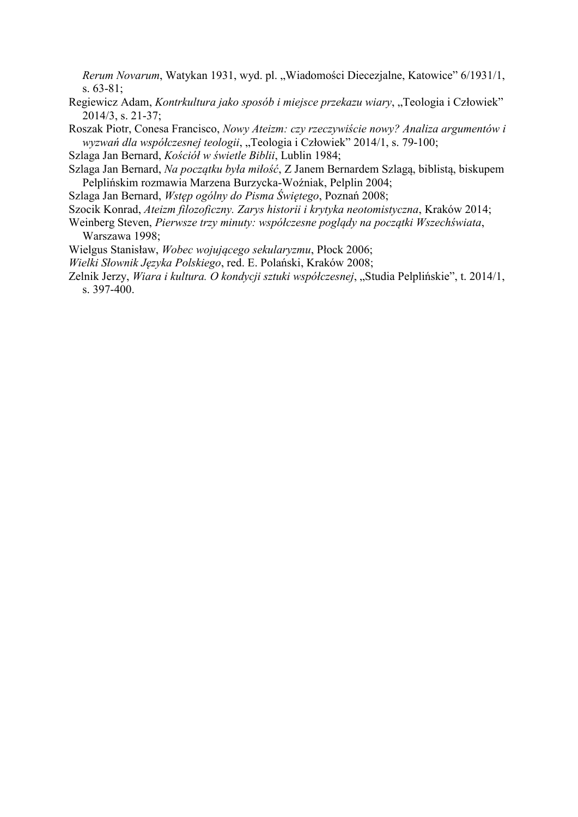*Rerum Novarum*, Watykan 1931, wyd. pl. "Wiadomości Diecezjalne, Katowice" 6/1931/1, s. 63-81;

- Regiewicz Adam, *Kontrkultura jako sposób i miejsce przekazu wiary*, "Teologia i Człowiek" 2014/3, s. 21-37;
- Roszak Piotr, Conesa Francisco, *Nowy Ateizm: czy rzeczywiście nowy? Analiza argumentów i wyzwań dla współczesnej teologii*, "Teologia i Człowiek" 2014/1, s. 79-100;
- Szlaga Jan Bernard, *Kościół w świetle Biblii*, Lublin 1984;
- Szlaga Jan Bernard, *Na początku była miłość*, Z Janem Bernardem Szlagą, biblistą, biskupem Pelplińskim rozmawia Marzena Burzycka-Woźniak, Pelplin 2004;
- Szlaga Jan Bernard, *Wstęp ogólny do Pisma Świętego*, Poznań 2008;
- Szocik Konrad, *Ateizm filozoficzny. Zarys historii i krytyka neotomistyczna*, Kraków 2014;
- Weinberg Steven, *Pierwsze trzy minuty: współczesne poglądy na początki Wszechświata*, Warszawa 1998;
- Wielgus Stanisław, *Wobec wojującego sekularyzmu*, Płock 2006;
- *Wielki Słownik Języka Polskiego*, red. E. Polański, Kraków 2008;
- Zelnik Jerzy, *Wiara i kultura. O kondycji sztuki współczesnej*, "Studia Pelplińskie", t. 2014/1, s. 397-400.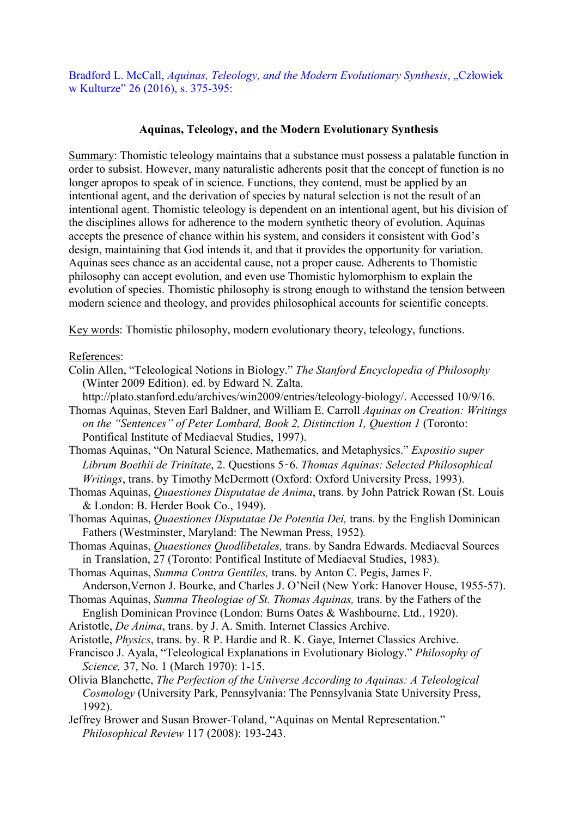Bradford L. McCall, *Aquinas, Teleology, and the Modern Evolutionary Synthesis*, "Człowiek w Kulturze" 26 (2016), s. 375-395:

#### Aquinas, Teleology, and the Modern Evolutionary Synthesis

Summary: Thomistic teleology maintains that a substance must possess a palatable function in order to subsist. However, many naturalistic adherents posit that the concept of function is no longer apropos to speak of in science. Functions, they contend, must be applied by an intentional agent, and the derivation of species by natural selection is not the result of an intentional agent. Thomistic teleology is dependent on an intentional agent, but his division of the disciplines allows for adherence to the modern synthetic theory of evolution. Aquinas accepts the presence of chance within his system, and considers it consistent with God's design, maintaining that God intends it, and that it provides the opportunity for variation. Aquinas sees chance as an accidental cause, not a proper cause. Adherents to Thomistic philosophy can accept evolution, and even use Thomistic hylomorphism to explain the evolution of species. Thomistic philosophy is strong enough to withstand the tension between modern science and theology, and provides philosophical accounts for scientific concepts.

Key words: Thomistic philosophy, modern evolutionary theory, teleology, functions.

References:

Colin Allen, "Teleological Notions in Biology." *The Stanford Encyclopedia of Philosophy*  (Winter 2009 Edition). ed. by Edward N. Zalta.

http://plato.stanford.edu/archives/win2009/entries/teleology-biology/. Accessed 10/9/16. Thomas Aquinas, Steven Earl Baldner, and William E. Carroll *Aquinas on Creation: Writings on the "Sentences" of Peter Lombard, Book 2, Distinction 1, Question 1* (Toronto:

Pontifical Institute of Mediaeval Studies, 1997).

Thomas Aquinas, "On Natural Science, Mathematics, and Metaphysics." *Expositio super Librum Boethii de Trinitate*, 2. Questions 5–6. *Thomas Aquinas: Selected Philosophical Writings*, trans. by Timothy McDermott (Oxford: Oxford University Press, 1993).

- Thomas Aquinas, *Quaestiones Disputatae de Anima*, trans. by John Patrick Rowan (St. Louis & London: B. Herder Book Co., 1949).
- Thomas Aquinas, *Quaestiones Disputatae De Potentia Dei,* trans. by the English Dominican Fathers (Westminster, Maryland: The Newman Press, 1952)*.*
- Thomas Aquinas, *Quaestiones Quodlibetales,* trans. by Sandra Edwards. Mediaeval Sources in Translation, 27 (Toronto: Pontifical Institute of Mediaeval Studies, 1983).
- Thomas Aquinas, *Summa Contra Gentiles,* trans. by Anton C. Pegis, James F. Anderson,Vernon J. Bourke, and Charles J. O'Neil (New York: Hanover House, 1955-57).
- Thomas Aquinas, *Summa Theologiae of St. Thomas Aquinas,* trans. by the Fathers of the English Dominican Province (London: Burns Oates & Washbourne, Ltd., 1920).
- Aristotle, *De Anima*, trans. by J. A. Smith. Internet Classics Archive.
- Aristotle, *Physics*, trans. by. R P. Hardie and R. K. Gaye, Internet Classics Archive.
- Francisco J. Ayala, "Teleological Explanations in Evolutionary Biology." *Philosophy of Science,* 37, No. 1 (March 1970): 1-15.
- Olivia Blanchette, *The Perfection of the Universe According to Aquinas: A Teleological Cosmology* (University Park, Pennsylvania: The Pennsylvania State University Press, 1992).
- Jeffrey Brower and Susan Brower-Toland, "Aquinas on Mental Representation." *Philosophical Review* 117 (2008): 193-243.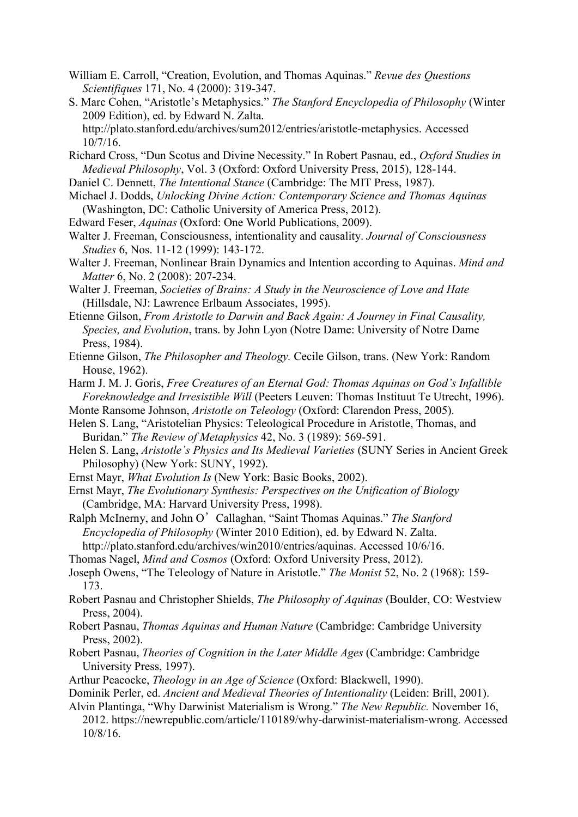- William E. Carroll, "Creation, Evolution, and Thomas Aquinas." *Revue des Questions Scientifiques* 171, No. 4 (2000): 319-347.
- S. Marc Cohen, "Aristotle's Metaphysics." *The Stanford Encyclopedia of Philosophy* (Winter 2009 Edition), ed. by Edward N. Zalta. http://plato.stanford.edu/archives/sum2012/entries/aristotle-metaphysics. Accessed 10/7/16.
- Richard Cross, "Dun Scotus and Divine Necessity." In Robert Pasnau, ed., *Oxford Studies in Medieval Philosophy*, Vol. 3 (Oxford: Oxford University Press, 2015), 128-144.
- Daniel C. Dennett, *The Intentional Stance* (Cambridge: The MIT Press, 1987).
- Michael J. Dodds, *Unlocking Divine Action: Contemporary Science and Thomas Aquinas*  (Washington, DC: Catholic University of America Press, 2012).
- Edward Feser, *Aquinas* (Oxford: One World Publications, 2009).
- Walter J. Freeman, Consciousness, intentionality and causality. *Journal of Consciousness Studies* 6, Nos. 11-12 (1999): 143-172.
- Walter J. Freeman, Nonlinear Brain Dynamics and Intention according to Aquinas. *Mind and Matter* 6, No. 2 (2008): 207-234.
- Walter J. Freeman, *Societies of Brains: A Study in the Neuroscience of Love and Hate*  (Hillsdale, NJ: Lawrence Erlbaum Associates, 1995).
- Etienne Gilson, *From Aristotle to Darwin and Back Again: A Journey in Final Causality, Species, and Evolution*, trans. by John Lyon (Notre Dame: University of Notre Dame Press, 1984).
- Etienne Gilson, *The Philosopher and Theology.* Cecile Gilson, trans. (New York: Random House, 1962).
- Harm J. M. J. Goris, *Free Creatures of an Eternal God: Thomas Aquinas on God's Infallible Foreknowledge and Irresistible Will* (Peeters Leuven: Thomas Instituut Te Utrecht, 1996).
- Monte Ransome Johnson, *Aristotle on Teleology* (Oxford: Clarendon Press, 2005).
- Helen S. Lang, "Aristotelian Physics: Teleological Procedure in Aristotle, Thomas, and Buridan." *The Review of Metaphysics* 42, No. 3 (1989): 569-591.
- Helen S. Lang, *Aristotle's Physics and Its Medieval Varieties* (SUNY Series in Ancient Greek Philosophy) (New York: SUNY, 1992).
- Ernst Mayr, *What Evolution Is* (New York: Basic Books, 2002).
- Ernst Mayr, *The Evolutionary Synthesis: Perspectives on the Unification of Biology*  (Cambridge, MA: Harvard University Press, 1998).
- Ralph McInerny, and John O'Callaghan, "Saint Thomas Aquinas." *The Stanford Encyclopedia of Philosophy* (Winter 2010 Edition), ed. by Edward N. Zalta.
- http://plato.stanford.edu/archives/win2010/entries/aquinas. Accessed 10/6/16.
- Thomas Nagel, *Mind and Cosmos* (Oxford: Oxford University Press, 2012).
- Joseph Owens, "The Teleology of Nature in Aristotle." *The Monist* 52, No. 2 (1968): 159- 173.
- Robert Pasnau and Christopher Shields, *The Philosophy of Aquinas* (Boulder, CO: Westview Press, 2004).
- Robert Pasnau, *Thomas Aquinas and Human Nature* (Cambridge: Cambridge University Press, 2002).
- Robert Pasnau, *Theories of Cognition in the Later Middle Ages* (Cambridge: Cambridge University Press, 1997).
- Arthur Peacocke, *Theology in an Age of Science* (Oxford: Blackwell, 1990).
- Dominik Perler, ed. *Ancient and Medieval Theories of Intentionality* (Leiden: Brill, 2001).
- Alvin Plantinga, "Why Darwinist Materialism is Wrong." *The New Republic.* November 16, 2012. https://newrepublic.com/article/110189/why-darwinist-materialism-wrong. Accessed 10/8/16.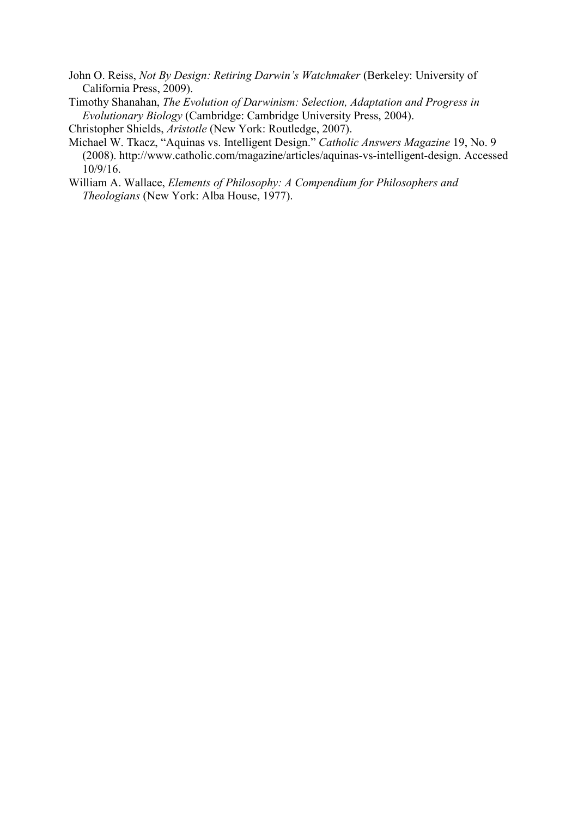John O. Reiss, *Not By Design: Retiring Darwin's Watchmaker* (Berkeley: University of California Press, 2009).

Timothy Shanahan, *The Evolution of Darwinism: Selection, Adaptation and Progress in Evolutionary Biology* (Cambridge: Cambridge University Press, 2004). Christopher Shields, *Aristotle* (New York: Routledge, 2007).

- Michael W. Tkacz, "Aquinas vs. Intelligent Design." *Catholic Answers Magazine* 19, No. 9 (2008). http://www.catholic.com/magazine/articles/aquinas-vs-intelligent-design. Accessed 10/9/16.
- William A. Wallace, *Elements of Philosophy: A Compendium for Philosophers and Theologians* (New York: Alba House, 1977).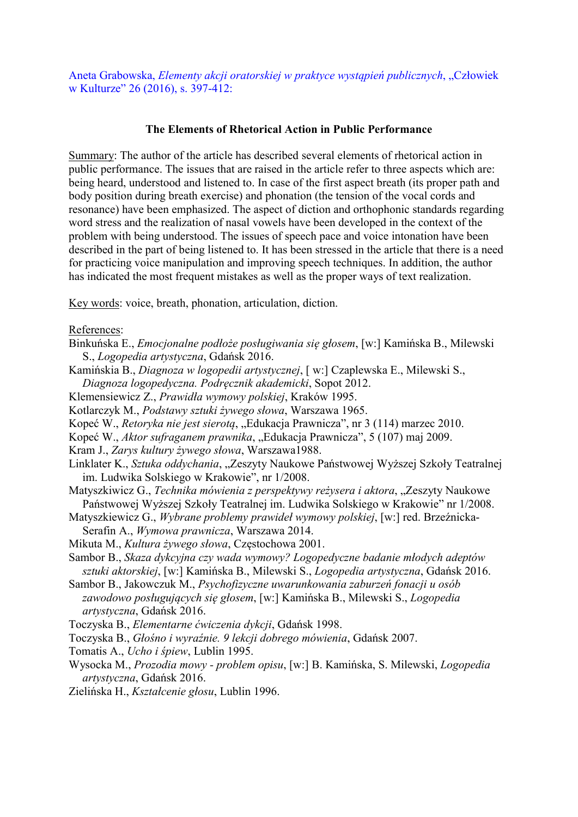Aneta Grabowska, *Elementy akcji oratorskiej w praktyce wystąpień publicznych*, "Człowiek w Kulturze" 26 (2016), s. 397-412:

### The Elements of Rhetorical Action in Public Performance

Summary: The author of the article has described several elements of rhetorical action in public performance. The issues that are raised in the article refer to three aspects which are: being heard, understood and listened to. In case of the first aspect breath (its proper path and body position during breath exercise) and phonation (the tension of the vocal cords and resonance) have been emphasized. The aspect of diction and orthophonic standards regarding word stress and the realization of nasal vowels have been developed in the context of the problem with being understood. The issues of speech pace and voice intonation have been described in the part of being listened to. It has been stressed in the article that there is a need for practicing voice manipulation and improving speech techniques. In addition, the author has indicated the most frequent mistakes as well as the proper ways of text realization.

Key words: voice, breath, phonation, articulation, diction.

References:

- Binkuńska E., *Emocjonalne podłoże posługiwania się głosem*, [w:] Kamińska B., Milewski S., *Logopedia artystyczna*, Gdańsk 2016.
- Kamińskia B., *Diagnoza w logopedii artystycznej*, [ w:] Czaplewska E., Milewski S., *Diagnoza logopedyczna. Podręcznik akademicki*, Sopot 2012.
- Klemensiewicz Z., *Prawidła wymowy polskiej*, Kraków 1995.
- Kotlarczyk M., *Podstawy sztuki żywego słowa*, Warszawa 1965.
- Kopeć W., *Retoryka nie jest sierotą*, "Edukacja Prawnicza", nr 3 (114) marzec 2010.
- Kopeć W., *Aktor sufraganem prawnika*, "Edukacja Prawnicza", 5 (107) maj 2009.

Kram J., *Zarys kultury żywego słowa*, Warszawa1988.

- Linklater K., Sztuka oddychania, "Zeszyty Naukowe Państwowej Wyższej Szkoły Teatralnej im. Ludwika Solskiego w Krakowie", nr 1/2008.
- Matyszkiwicz G., *Technika mówienia z perspektywy reżysera i aktora*, "Zeszyty Naukowe Państwowej Wyższej Szkoły Teatralnej im. Ludwika Solskiego w Krakowie" nr 1/2008.
- Matyszkiewicz G., *Wybrane problemy prawideł wymowy polskiej*, [w:] red. Brzeźnicka-Serafin A., *Wymowa prawnicza*, Warszawa 2014.
- Mikuta M., *Kultura żywego słowa*, Częstochowa 2001.
- Sambor B., *Skaza dykcyjna czy wada wymowy? Logopedyczne badanie młodych adeptów sztuki aktorskiej*, [w:] Kamińska B., Milewski S., *Logopedia artystyczna*, Gdańsk 2016.
- Sambor B., Jakowczuk M., *Psychofizyczne uwarunkowania zaburzeń fonacji u osób zawodowo posługujących się głosem*, [w:] Kamińska B., Milewski S., *Logopedia artystyczna*, Gdańsk 2016.

Toczyska B., *Elementarne ćwiczenia dykcji*, Gdańsk 1998.

- Toczyska B., *Głośno i wyraźnie. 9 lekcji dobrego mówienia*, Gdańsk 2007.
- Tomatis A., *Ucho i śpiew*, Lublin 1995.
- Wysocka M., *Prozodia mowy problem opisu*, [w:] B. Kamińska, S. Milewski, *Logopedia artystyczna*, Gdańsk 2016.
- Zielińska H., *Kształcenie głosu*, Lublin 1996.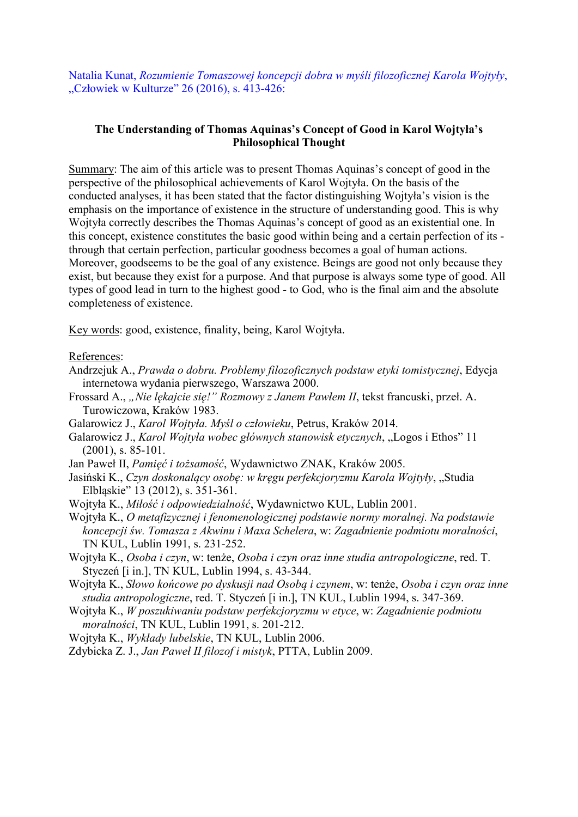Natalia Kunat, *Rozumienie Tomaszowej koncepcji dobra w myśli filozoficznej Karola Wojtyły*, "Człowiek w Kulturze" 26 (2016), s. 413-426:

## The Understanding of Thomas Aquinas's Concept of Good in Karol Wojtyła's Philosophical Thought

Summary: The aim of this article was to present Thomas Aquinas's concept of good in the perspective of the philosophical achievements of Karol Wojtyła. On the basis of the conducted analyses, it has been stated that the factor distinguishing Wojtyła's vision is the emphasis on the importance of existence in the structure of understanding good. This is why Wojtyła correctly describes the Thomas Aquinas's concept of good as an existential one. In this concept, existence constitutes the basic good within being and a certain perfection of its through that certain perfection, particular goodness becomes a goal of human actions. Moreover, goodseems to be the goal of any existence. Beings are good not only because they exist, but because they exist for a purpose. And that purpose is always some type of good. All types of good lead in turn to the highest good - to God, who is the final aim and the absolute completeness of existence.

Key words: good, existence, finality, being, Karol Wojtyła.

References:

- Andrzejuk A., *Prawda o dobru. Problemy filozoficznych podstaw etyki tomistycznej*, Edycja internetowa wydania pierwszego, Warszawa 2000.
- Frossard A., *"Nie lękajcie się!" Rozmowy z Janem Pawłem II*, tekst francuski, przeł. A. Turowiczowa, Kraków 1983.
- Galarowicz J., *Karol Wojtyła. Myśl o człowieku*, Petrus, Kraków 2014.
- Galarowicz J., *Karol Wojtyła wobec głównych stanowisk etycznych*, "Logos i Ethos" 11 (2001), s. 85-101.
- Jan Paweł II, *Pamięć i tożsamość*, Wydawnictwo ZNAK, Kraków 2005.
- Jasiński K., *Czyn doskonalący osobę: w kręgu perfekcjoryzmu Karola Wojtyły*, "Studia Elbląskie" 13 (2012), s. 351-361.
- Wojtyła K., *Miłość i odpowiedzialność*, Wydawnictwo KUL, Lublin 2001.
- Wojtyła K., *O metafizycznej i fenomenologicznej podstawie normy moralnej. Na podstawie koncepcji św. Tomasza z Akwinu i Maxa Schelera*, w: *Zagadnienie podmiotu moralności*, TN KUL, Lublin 1991, s. 231-252.
- Wojtyła K., *Osoba i czyn*, w: tenże, *Osoba i czyn oraz inne studia antropologiczne*, red. T. Styczeń [i in.], TN KUL, Lublin 1994, s. 43-344.
- Wojtyła K., *Słowo końcowe po dyskusji nad Osobą i czynem*, w: tenże, *Osoba i czyn oraz inne studia antropologiczne*, red. T. Styczeń [i in.], TN KUL, Lublin 1994, s. 347-369.
- Wojtyła K., *W poszukiwaniu podstaw perfekcjoryzmu w etyce*, w: *Zagadnienie podmiotu moralności*, TN KUL, Lublin 1991, s. 201-212.
- Wojtyła K., *Wykłady lubelskie*, TN KUL, Lublin 2006.
- Zdybicka Z. J., *Jan Paweł II filozof i mistyk*, PTTA, Lublin 2009.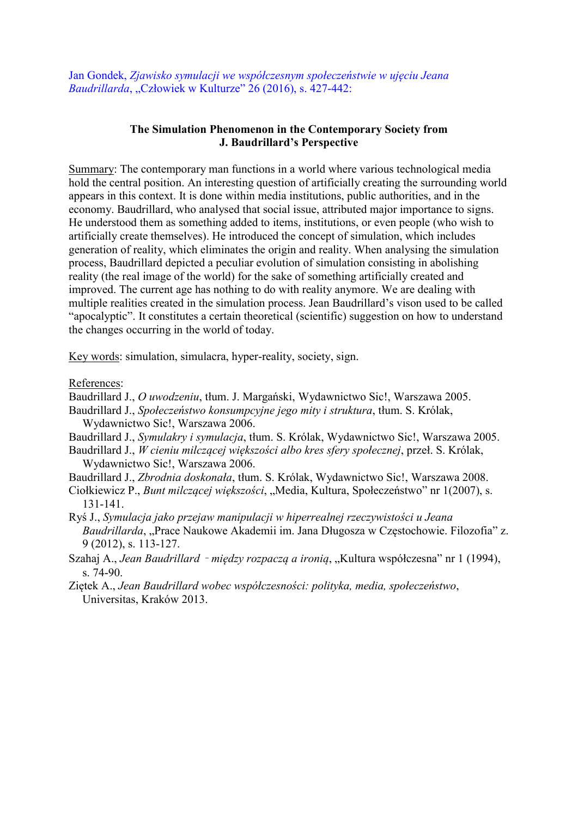Jan Gondek, *Zjawisko symulacji we współczesnym społeczeństwie w ujęciu Jeana Baudrillarda*, "Człowiek w Kulturze" 26 (2016), s. 427-442:

## The Simulation Phenomenon in the Contemporary Society from J. Baudrillard's Perspective

Summary: The contemporary man functions in a world where various technological media hold the central position. An interesting question of artificially creating the surrounding world appears in this context. It is done within media institutions, public authorities, and in the economy. Baudrillard, who analysed that social issue, attributed major importance to signs. He understood them as something added to items, institutions, or even people (who wish to artificially create themselves). He introduced the concept of simulation, which includes generation of reality, which eliminates the origin and reality. When analysing the simulation process, Baudrillard depicted a peculiar evolution of simulation consisting in abolishing reality (the real image of the world) for the sake of something artificially created and improved. The current age has nothing to do with reality anymore. We are dealing with multiple realities created in the simulation process. Jean Baudrillard's vison used to be called "apocalyptic". It constitutes a certain theoretical (scientific) suggestion on how to understand the changes occurring in the world of today.

Key words: simulation, simulacra, hyper-reality, society, sign.

References:

Baudrillard J., *O uwodzeniu*, tłum. J. Margański, Wydawnictwo Sic!, Warszawa 2005.

- Baudrillard J., *Społeczeństwo konsumpcyjne jego mity i struktura*, tłum. S. Królak, Wydawnictwo Sic!, Warszawa 2006.
- Baudrillard J., *Symulakry i symulacja*, tłum. S. Królak, Wydawnictwo Sic!, Warszawa 2005.

Baudrillard J., *W cieniu milczącej większości albo kres sfery społecznej*, przeł. S. Królak, Wydawnictwo Sic!, Warszawa 2006.

Baudrillard J., *Zbrodnia doskonała*, tłum. S. Królak, Wydawnictwo Sic!, Warszawa 2008.

- Ciołkiewicz P., *Bunt milczącej większości*, "Media, Kultura, Społeczeństwo" nr 1(2007), s. 131-141.
- Ryś J., *Symulacja jako przejaw manipulacji w hiperrealnej rzeczywistości u Jeana Baudrillarda*, "Prace Naukowe Akademii im. Jana Długosza w Częstochowie. Filozofia" z. 9 (2012), s. 113-127.
- Szahaj A., *Jean Baudrillard między rozpaczą a ironią*, "Kultura współczesna" nr 1 (1994), s. 74-90.
- Ziętek A., *Jean Baudrillard wobec współczesności: polityka, media, społeczeństwo*, Universitas, Kraków 2013.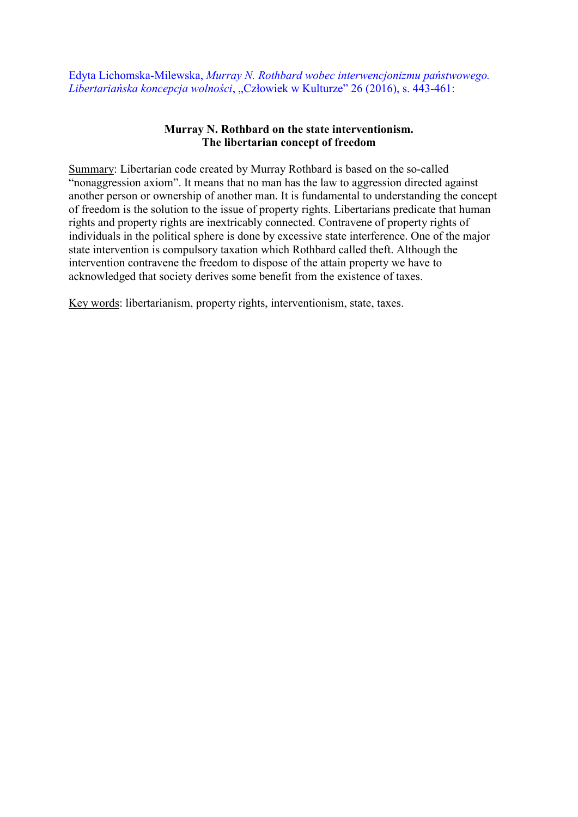Edyta Lichomska-Milewska, *Murray N. Rothbard wobec interwencjonizmu państwowego. Libertariańska koncepcja wolności*, "Człowiek w Kulturze" 26 (2016), s. 443-461:

## Murray N. Rothbard on the state interventionism. The libertarian concept of freedom

Summary: Libertarian code created by Murray Rothbard is based on the so-called "nonaggression axiom". It means that no man has the law to aggression directed against another person or ownership of another man. It is fundamental to understanding the concept of freedom is the solution to the issue of property rights. Libertarians predicate that human rights and property rights are inextricably connected. Contravene of property rights of individuals in the political sphere is done by excessive state interference. One of the major state intervention is compulsory taxation which Rothbard called theft. Although the intervention contravene the freedom to dispose of the attain property we have to acknowledged that society derives some benefit from the existence of taxes.

Key words: libertarianism, property rights, interventionism, state, taxes.